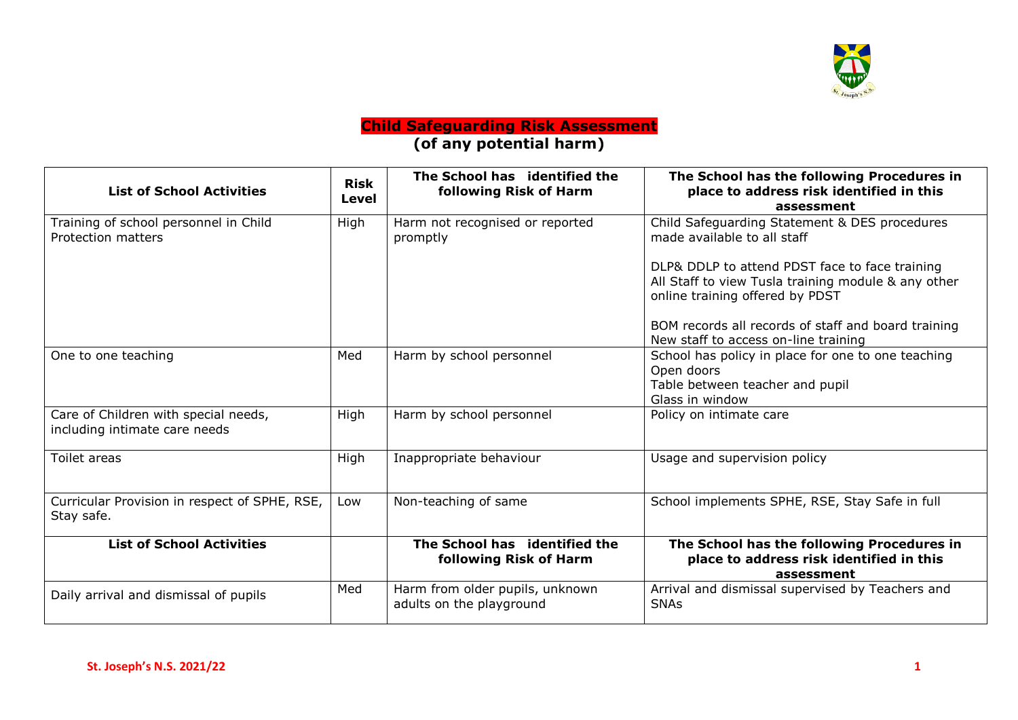

## **Child Safeguarding Risk Assessment (of any potential harm)**

| <b>List of School Activities</b>                                      | <b>Risk</b><br>Level | The School has identified the<br>following Risk of Harm     | The School has the following Procedures in<br>place to address risk identified in this<br>assessment                                     |  |
|-----------------------------------------------------------------------|----------------------|-------------------------------------------------------------|------------------------------------------------------------------------------------------------------------------------------------------|--|
| Training of school personnel in Child<br>Protection matters           | High                 | Harm not recognised or reported<br>promptly                 | Child Safeguarding Statement & DES procedures<br>made available to all staff                                                             |  |
|                                                                       |                      |                                                             | DLP& DDLP to attend PDST face to face training<br>All Staff to view Tusla training module & any other<br>online training offered by PDST |  |
|                                                                       |                      |                                                             | BOM records all records of staff and board training<br>New staff to access on-line training                                              |  |
| One to one teaching                                                   | Med                  | Harm by school personnel                                    | School has policy in place for one to one teaching<br>Open doors<br>Table between teacher and pupil<br>Glass in window                   |  |
| Care of Children with special needs,<br>including intimate care needs | High                 | Harm by school personnel                                    | Policy on intimate care                                                                                                                  |  |
| Toilet areas                                                          | High                 | Inappropriate behaviour                                     | Usage and supervision policy                                                                                                             |  |
| Curricular Provision in respect of SPHE, RSE,<br>Stay safe.           | Low                  | Non-teaching of same                                        | School implements SPHE, RSE, Stay Safe in full                                                                                           |  |
| <b>List of School Activities</b>                                      |                      | The School has identified the<br>following Risk of Harm     | The School has the following Procedures in<br>place to address risk identified in this<br>assessment                                     |  |
| Daily arrival and dismissal of pupils                                 | Med                  | Harm from older pupils, unknown<br>adults on the playground | Arrival and dismissal supervised by Teachers and<br><b>SNAs</b>                                                                          |  |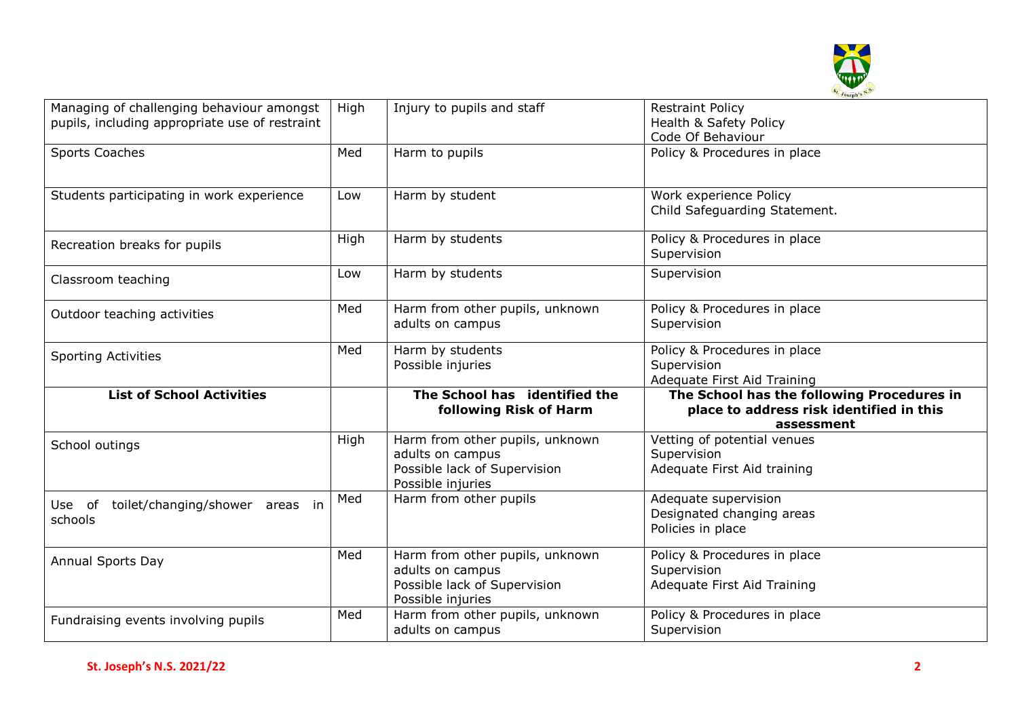

| Managing of challenging behaviour amongst<br>pupils, including appropriate use of restraint | High | Injury to pupils and staff                                                                               | <b>Restraint Policy</b><br>Health & Safety Policy<br>Code Of Behaviour                               |  |
|---------------------------------------------------------------------------------------------|------|----------------------------------------------------------------------------------------------------------|------------------------------------------------------------------------------------------------------|--|
| Sports Coaches                                                                              | Med  | Harm to pupils                                                                                           | Policy & Procedures in place                                                                         |  |
| Students participating in work experience                                                   | Low  | Harm by student                                                                                          | Work experience Policy<br>Child Safeguarding Statement.                                              |  |
| Recreation breaks for pupils                                                                | High | Harm by students                                                                                         | Policy & Procedures in place<br>Supervision                                                          |  |
| Classroom teaching                                                                          | Low  | Harm by students                                                                                         | Supervision                                                                                          |  |
| Outdoor teaching activities                                                                 | Med  | Harm from other pupils, unknown<br>adults on campus                                                      | Policy & Procedures in place<br>Supervision                                                          |  |
| <b>Sporting Activities</b>                                                                  | Med  | Harm by students<br>Possible injuries                                                                    | Policy & Procedures in place<br>Supervision<br>Adequate First Aid Training                           |  |
| <b>List of School Activities</b>                                                            |      | The School has identified the<br>following Risk of Harm                                                  | The School has the following Procedures in<br>place to address risk identified in this<br>assessment |  |
| School outings                                                                              | High | Harm from other pupils, unknown<br>adults on campus<br>Possible lack of Supervision<br>Possible injuries | Vetting of potential venues<br>Supervision<br>Adequate First Aid training                            |  |
| toilet/changing/shower areas in<br>Use of<br>schools                                        | Med  | Harm from other pupils                                                                                   | Adequate supervision<br>Designated changing areas<br>Policies in place                               |  |
| Annual Sports Day                                                                           | Med  | Harm from other pupils, unknown<br>adults on campus<br>Possible lack of Supervision<br>Possible injuries | Policy & Procedures in place<br>Supervision<br>Adequate First Aid Training                           |  |
| Fundraising events involving pupils                                                         | Med  | Harm from other pupils, unknown<br>adults on campus                                                      | Policy & Procedures in place<br>Supervision                                                          |  |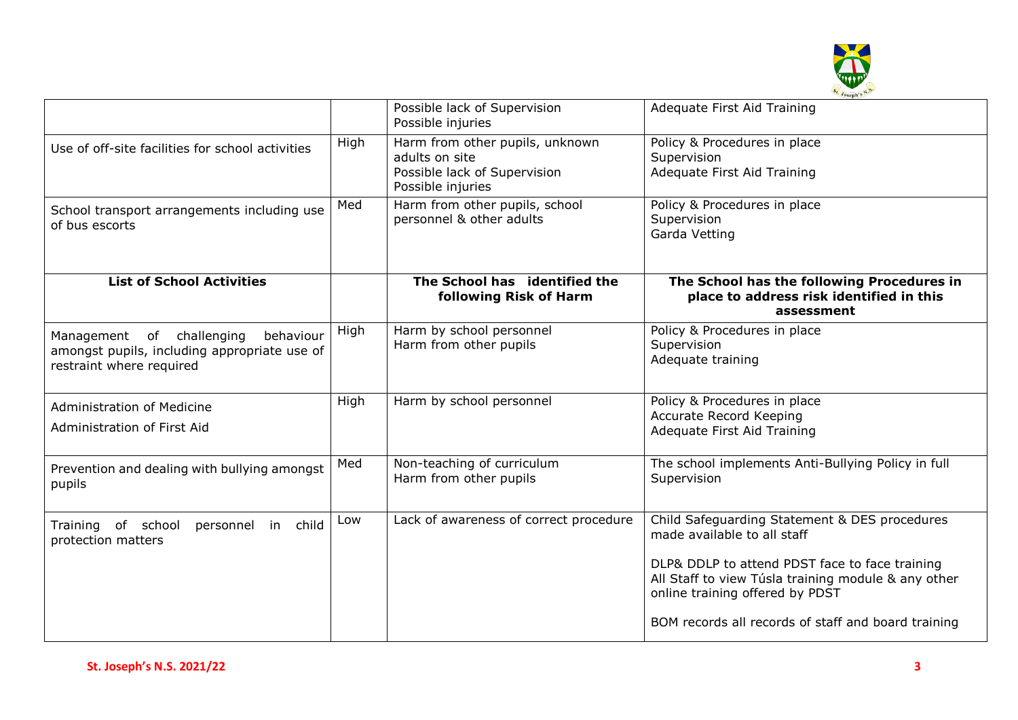

|                                                                                                                    |      | Possible lack of Supervision<br>Possible injuries                                                      | Adequate First Aid Training                                                                                                                                                                                                                                                     |  |
|--------------------------------------------------------------------------------------------------------------------|------|--------------------------------------------------------------------------------------------------------|---------------------------------------------------------------------------------------------------------------------------------------------------------------------------------------------------------------------------------------------------------------------------------|--|
| Use of off-site facilities for school activities                                                                   | High | Harm from other pupils, unknown<br>adults on site<br>Possible lack of Supervision<br>Possible injuries | Policy & Procedures in place<br>Supervision<br>Adequate First Aid Training                                                                                                                                                                                                      |  |
| School transport arrangements including use<br>of bus escorts                                                      | Med  | Harm from other pupils, school<br>personnel & other adults                                             | Policy & Procedures in place<br>Supervision<br>Garda Vetting                                                                                                                                                                                                                    |  |
| <b>List of School Activities</b>                                                                                   |      | The School has identified the<br>following Risk of Harm                                                | The School has the following Procedures in<br>place to address risk identified in this<br>assessment                                                                                                                                                                            |  |
| Management of challenging<br>behaviour<br>amongst pupils, including appropriate use of<br>restraint where required | High | Harm by school personnel<br>Harm from other pupils                                                     | Policy & Procedures in place<br>Supervision<br>Adequate training                                                                                                                                                                                                                |  |
| <b>Administration of Medicine</b><br>Administration of First Aid                                                   | High | Harm by school personnel                                                                               | Policy & Procedures in place<br><b>Accurate Record Keeping</b><br>Adequate First Aid Training                                                                                                                                                                                   |  |
| Prevention and dealing with bullying amongst<br>pupils                                                             | Med  | Non-teaching of curriculum<br>Harm from other pupils                                                   | The school implements Anti-Bullying Policy in full<br>Supervision                                                                                                                                                                                                               |  |
| Training of school<br>personnel in child<br>protection matters                                                     | Low  | Lack of awareness of correct procedure                                                                 | Child Safeguarding Statement & DES procedures<br>made available to all staff<br>DLP& DDLP to attend PDST face to face training<br>All Staff to view Túsla training module & any other<br>online training offered by PDST<br>BOM records all records of staff and board training |  |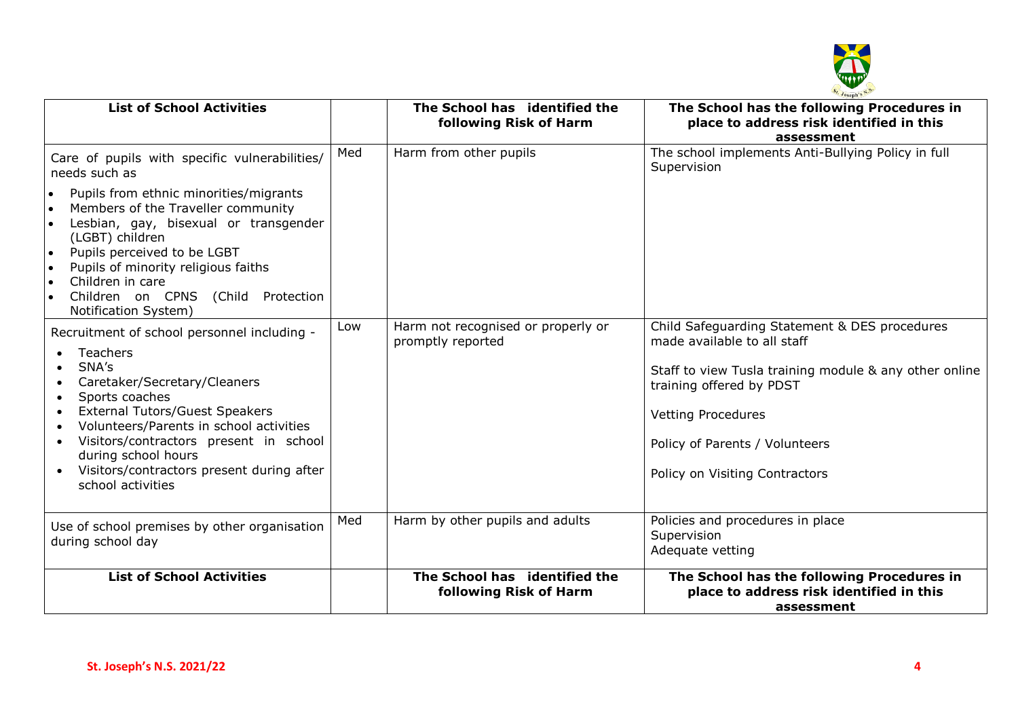

| <b>List of School Activities</b>                                                                                                                                                                                                                                                                                                                                               |     | The School has identified the<br>following Risk of Harm | The School has the following Procedures in<br>place to address risk identified in this<br>assessment                                                                                                                                                                |
|--------------------------------------------------------------------------------------------------------------------------------------------------------------------------------------------------------------------------------------------------------------------------------------------------------------------------------------------------------------------------------|-----|---------------------------------------------------------|---------------------------------------------------------------------------------------------------------------------------------------------------------------------------------------------------------------------------------------------------------------------|
| Care of pupils with specific vulnerabilities/<br>needs such as                                                                                                                                                                                                                                                                                                                 | Med | Harm from other pupils                                  | The school implements Anti-Bullying Policy in full<br>Supervision                                                                                                                                                                                                   |
| Pupils from ethnic minorities/migrants<br>$\bullet$<br>Members of the Traveller community<br>$\bullet$<br>Lesbian, gay, bisexual or transgender<br>(LGBT) children<br>Pupils perceived to be LGBT<br>$\bullet$<br>Pupils of minority religious faiths<br>$\bullet$<br>Children in care<br>$\bullet$<br>Children on CPNS (Child Protection<br>$\bullet$<br>Notification System) |     |                                                         |                                                                                                                                                                                                                                                                     |
| Recruitment of school personnel including -<br>Teachers<br>SNA's<br>Caretaker/Secretary/Cleaners<br>Sports coaches<br>$\bullet$<br><b>External Tutors/Guest Speakers</b><br>Volunteers/Parents in school activities<br>Visitors/contractors present in school<br>$\bullet$<br>during school hours<br>Visitors/contractors present during after<br>school activities            | Low | Harm not recognised or properly or<br>promptly reported | Child Safeguarding Statement & DES procedures<br>made available to all staff<br>Staff to view Tusla training module & any other online<br>training offered by PDST<br><b>Vetting Procedures</b><br>Policy of Parents / Volunteers<br>Policy on Visiting Contractors |
| Use of school premises by other organisation<br>during school day                                                                                                                                                                                                                                                                                                              | Med | Harm by other pupils and adults                         | Policies and procedures in place<br>Supervision<br>Adequate vetting                                                                                                                                                                                                 |
| <b>List of School Activities</b>                                                                                                                                                                                                                                                                                                                                               |     | The School has identified the<br>following Risk of Harm | The School has the following Procedures in<br>place to address risk identified in this<br>assessment                                                                                                                                                                |